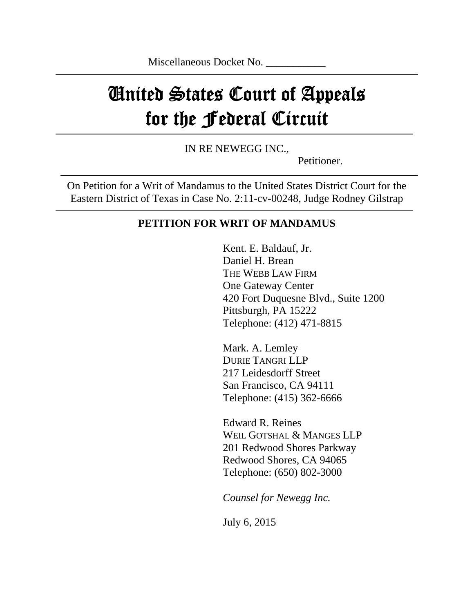# United States Court of Appeals for the Federal Circuit

IN RE NEWEGG INC.,

Petitioner.

On Petition for a Writ of Mandamus to the United States District Court for the Eastern District of Texas in Case No. 2:11-cv-00248, Judge Rodney Gilstrap

## **PETITION FOR WRIT OF MANDAMUS**

Kent. E. Baldauf, Jr. Daniel H. Brean THE WEBB LAW FIRM One Gateway Center 420 Fort Duquesne Blvd., Suite 1200 Pittsburgh, PA 15222 Telephone: (412) 471-8815

Mark. A. Lemley DURIE TANGRI LLP 217 Leidesdorff Street San Francisco, CA 94111 Telephone: (415) 362-6666

Edward R. Reines WEIL GOTSHAL & MANGES LLP 201 Redwood Shores Parkway Redwood Shores, CA 94065 Telephone: (650) 802-3000

*Counsel for Newegg Inc.* 

July 6, 2015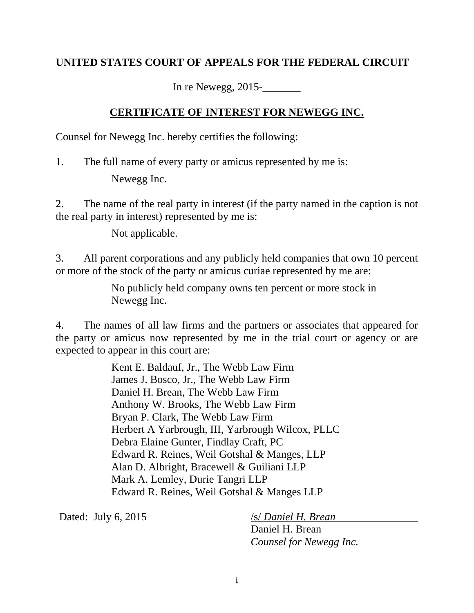## **UNITED STATES COURT OF APPEALS FOR THE FEDERAL CIRCUIT**

In re Newegg, 2015-\_\_\_\_\_\_\_

## **CERTIFICATE OF INTEREST FOR NEWEGG INC.**

Counsel for Newegg Inc. hereby certifies the following:

1. The full name of every party or amicus represented by me is: Newegg Inc.

2. The name of the real party in interest (if the party named in the caption is not the real party in interest) represented by me is:

Not applicable.

3. All parent corporations and any publicly held companies that own 10 percent or more of the stock of the party or amicus curiae represented by me are:

> No publicly held company owns ten percent or more stock in Newegg Inc.

4. The names of all law firms and the partners or associates that appeared for the party or amicus now represented by me in the trial court or agency or are expected to appear in this court are:

> Kent E. Baldauf, Jr., The Webb Law Firm James J. Bosco, Jr., The Webb Law Firm Daniel H. Brean, The Webb Law Firm Anthony W. Brooks, The Webb Law Firm Bryan P. Clark, The Webb Law Firm Herbert A Yarbrough, III, Yarbrough Wilcox, PLLC Debra Elaine Gunter, Findlay Craft, PC Edward R. Reines, Weil Gotshal & Manges, LLP Alan D. Albright, Bracewell & Guiliani LLP Mark A. Lemley, Durie Tangri LLP Edward R. Reines, Weil Gotshal & Manges LLP

Dated: July 6, 2015 /s/ *Daniel H. Brean*

Daniel H. Brean *Counsel for Newegg Inc.*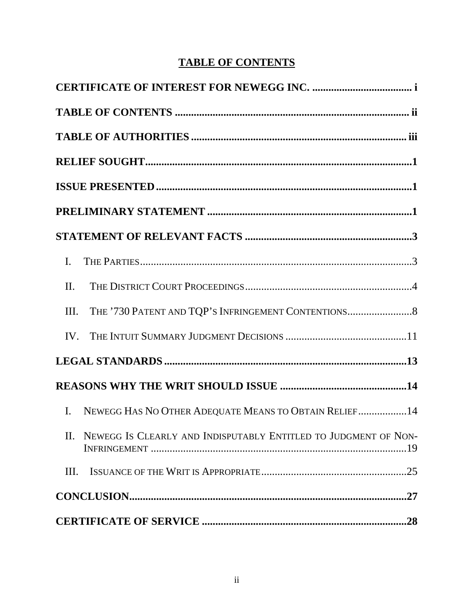# **TABLE OF CONTENTS**

| $\mathbf{I}$ .                                                          |
|-------------------------------------------------------------------------|
| II.                                                                     |
| Ш.                                                                      |
| IV.                                                                     |
|                                                                         |
|                                                                         |
| NEWEGG HAS NO OTHER ADEQUATE MEANS TO OBTAIN RELIEF14<br>$\mathbf{I}$ . |
| II. NEWEGG IS CLEARLY AND INDISPUTABLY ENTITLED TO JUDGMENT OF NON-     |
| Ш.                                                                      |
|                                                                         |
|                                                                         |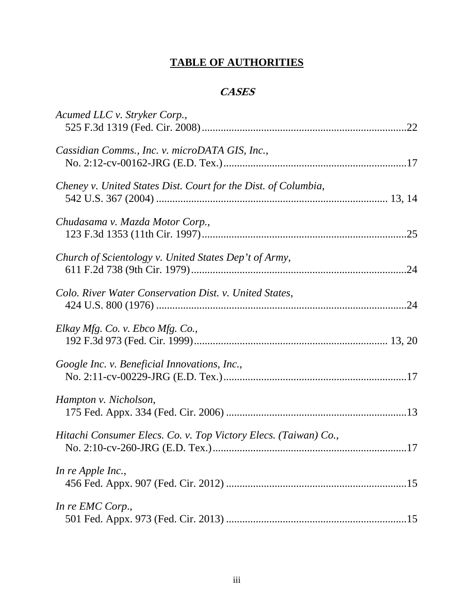# **TABLE OF AUTHORITIES**

## **CASES**

| Acumed LLC v. Stryker Corp.,                                    |  |
|-----------------------------------------------------------------|--|
| Cassidian Comms., Inc. v. microDATA GIS, Inc.,                  |  |
| Cheney v. United States Dist. Court for the Dist. of Columbia,  |  |
| Chudasama v. Mazda Motor Corp.,                                 |  |
| Church of Scientology v. United States Dep't of Army,           |  |
| Colo. River Water Conservation Dist. v. United States,          |  |
| Elkay Mfg. Co. v. Ebco Mfg. Co.,                                |  |
| Google Inc. v. Beneficial Innovations, Inc.,                    |  |
| Hampton v. Nicholson,                                           |  |
| Hitachi Consumer Elecs. Co. v. Top Victory Elecs. (Taiwan) Co., |  |
| In re Apple Inc.,                                               |  |
| In re EMC Corp.,                                                |  |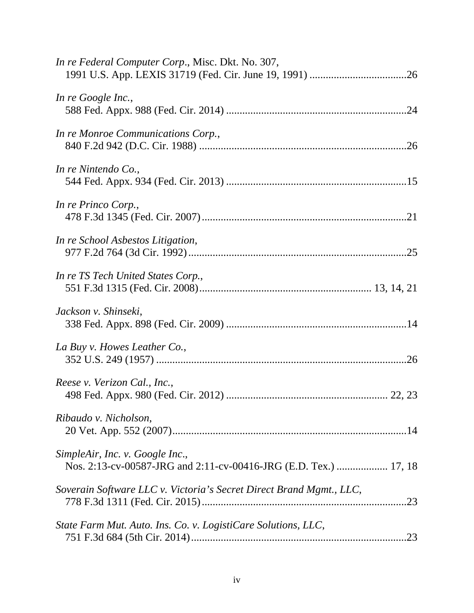| In re Federal Computer Corp., Misc. Dkt. No. 307,                                                   |
|-----------------------------------------------------------------------------------------------------|
| In re Google Inc.,                                                                                  |
| In re Monroe Communications Corp.,                                                                  |
| In re Nintendo Co.,                                                                                 |
| In re Princo Corp.,                                                                                 |
| In re School Asbestos Litigation,                                                                   |
| In re TS Tech United States Corp.,                                                                  |
| Jackson v. Shinseki,                                                                                |
| La Buy v. Howes Leather Co.,                                                                        |
| Reese v. Verizon Cal., Inc.,                                                                        |
| Ribaudo v. Nicholson,                                                                               |
| SimpleAir, Inc. v. Google Inc.,<br>Nos. 2:13-cv-00587-JRG and 2:11-cv-00416-JRG (E.D. Tex.)  17, 18 |
| Soverain Software LLC v. Victoria's Secret Direct Brand Mgmt., LLC,                                 |
| State Farm Mut. Auto. Ins. Co. v. LogistiCare Solutions, LLC,                                       |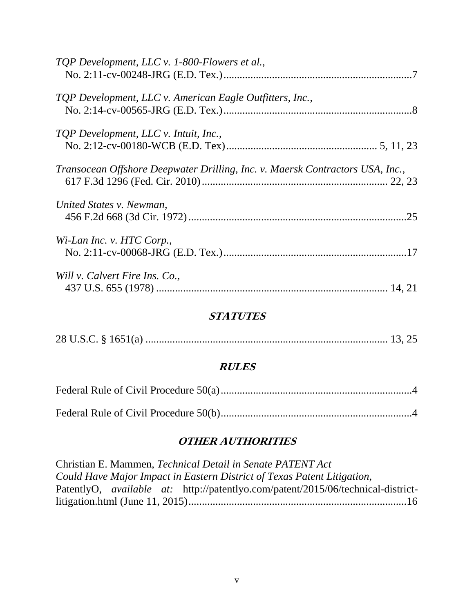| TQP Development, LLC v. 1-800-Flowers et al.,                                 |     |
|-------------------------------------------------------------------------------|-----|
|                                                                               |     |
| TQP Development, LLC v. American Eagle Outfitters, Inc.,                      |     |
|                                                                               |     |
| TQP Development, LLC v. Intuit, Inc.,                                         |     |
|                                                                               |     |
| Transocean Offshore Deepwater Drilling, Inc. v. Maersk Contractors USA, Inc., |     |
|                                                                               |     |
| United States v. Newman,                                                      |     |
|                                                                               | .25 |
| Wi-Lan Inc. v. HTC Corp.,                                                     |     |
|                                                                               |     |
| Will v. Calvert Fire Ins. Co.,                                                |     |
|                                                                               |     |

## **STATUTES**

## **RULES**

## **OTHER AUTHORITIES**

Christian E. Mammen, *Technical Detail in Senate PATENT Act Could Have Major Impact in Eastern District of Texas Patent Litigation*, PatentlyO, *available at:* http://patentlyo.com/patent/2015/06/technical-districtlitigation.html (June 11, 2015) ................................................................................. 16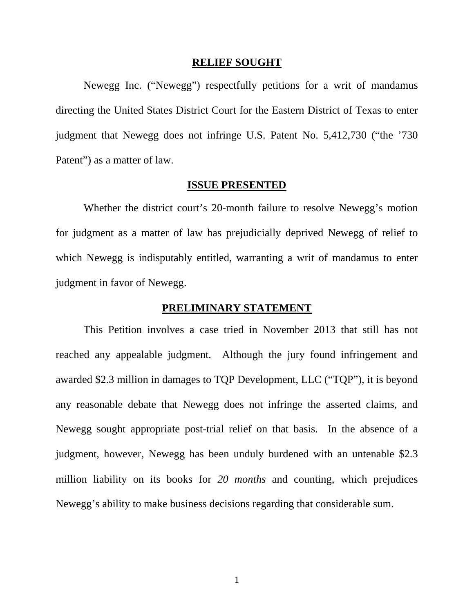#### **RELIEF SOUGHT**

Newegg Inc. ("Newegg") respectfully petitions for a writ of mandamus directing the United States District Court for the Eastern District of Texas to enter judgment that Newegg does not infringe U.S. Patent No. 5,412,730 ("the '730 Patent") as a matter of law.

#### **ISSUE PRESENTED**

 Whether the district court's 20-month failure to resolve Newegg's motion for judgment as a matter of law has prejudicially deprived Newegg of relief to which Newegg is indisputably entitled, warranting a writ of mandamus to enter judgment in favor of Newegg.

#### **PRELIMINARY STATEMENT**

 This Petition involves a case tried in November 2013 that still has not reached any appealable judgment. Although the jury found infringement and awarded \$2.3 million in damages to TQP Development, LLC ("TQP"), it is beyond any reasonable debate that Newegg does not infringe the asserted claims, and Newegg sought appropriate post-trial relief on that basis. In the absence of a judgment, however, Newegg has been unduly burdened with an untenable \$2.3 million liability on its books for *20 months* and counting, which prejudices Newegg's ability to make business decisions regarding that considerable sum.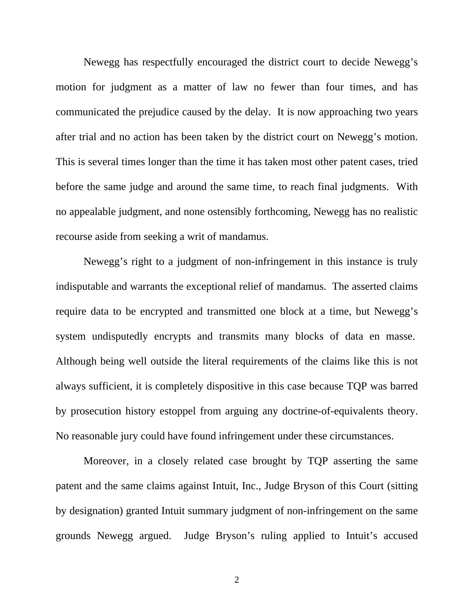Newegg has respectfully encouraged the district court to decide Newegg's motion for judgment as a matter of law no fewer than four times, and has communicated the prejudice caused by the delay. It is now approaching two years after trial and no action has been taken by the district court on Newegg's motion. This is several times longer than the time it has taken most other patent cases, tried before the same judge and around the same time, to reach final judgments. With no appealable judgment, and none ostensibly forthcoming, Newegg has no realistic recourse aside from seeking a writ of mandamus.

Newegg's right to a judgment of non-infringement in this instance is truly indisputable and warrants the exceptional relief of mandamus. The asserted claims require data to be encrypted and transmitted one block at a time, but Newegg's system undisputedly encrypts and transmits many blocks of data en masse. Although being well outside the literal requirements of the claims like this is not always sufficient, it is completely dispositive in this case because TQP was barred by prosecution history estoppel from arguing any doctrine-of-equivalents theory. No reasonable jury could have found infringement under these circumstances.

Moreover, in a closely related case brought by TQP asserting the same patent and the same claims against Intuit, Inc., Judge Bryson of this Court (sitting by designation) granted Intuit summary judgment of non-infringement on the same grounds Newegg argued. Judge Bryson's ruling applied to Intuit's accused

2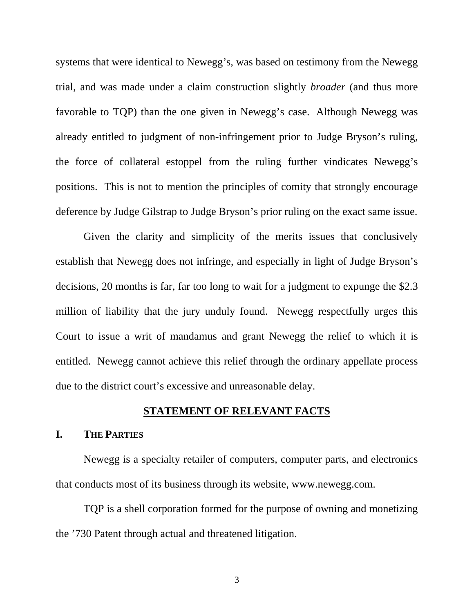systems that were identical to Newegg's, was based on testimony from the Newegg trial, and was made under a claim construction slightly *broader* (and thus more favorable to TQP) than the one given in Newegg's case. Although Newegg was already entitled to judgment of non-infringement prior to Judge Bryson's ruling, the force of collateral estoppel from the ruling further vindicates Newegg's positions. This is not to mention the principles of comity that strongly encourage deference by Judge Gilstrap to Judge Bryson's prior ruling on the exact same issue.

Given the clarity and simplicity of the merits issues that conclusively establish that Newegg does not infringe, and especially in light of Judge Bryson's decisions, 20 months is far, far too long to wait for a judgment to expunge the \$2.3 million of liability that the jury unduly found. Newegg respectfully urges this Court to issue a writ of mandamus and grant Newegg the relief to which it is entitled. Newegg cannot achieve this relief through the ordinary appellate process due to the district court's excessive and unreasonable delay.

## **STATEMENT OF RELEVANT FACTS**

#### **I. THE PARTIES**

Newegg is a specialty retailer of computers, computer parts, and electronics that conducts most of its business through its website, www.newegg.com.

TQP is a shell corporation formed for the purpose of owning and monetizing the '730 Patent through actual and threatened litigation.

3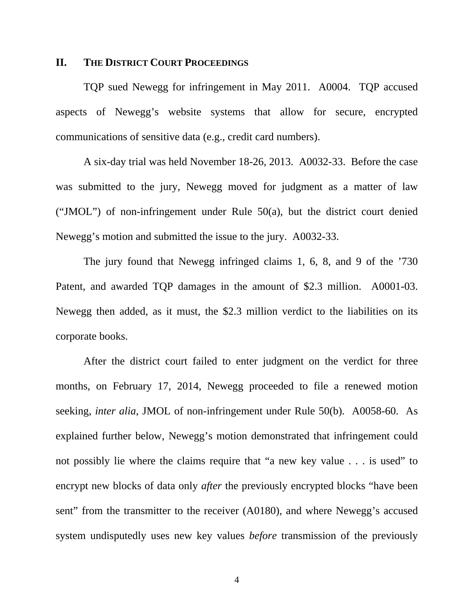#### **II. THE DISTRICT COURT PROCEEDINGS**

TQP sued Newegg for infringement in May 2011. A0004. TQP accused aspects of Newegg's website systems that allow for secure, encrypted communications of sensitive data (e.g., credit card numbers).

A six-day trial was held November 18-26, 2013. A0032-33. Before the case was submitted to the jury, Newegg moved for judgment as a matter of law ("JMOL") of non-infringement under Rule  $50(a)$ , but the district court denied Newegg's motion and submitted the issue to the jury. A0032-33.

The jury found that Newegg infringed claims 1, 6, 8, and 9 of the '730 Patent, and awarded TQP damages in the amount of \$2.3 million. A0001-03. Newegg then added, as it must, the \$2.3 million verdict to the liabilities on its corporate books.

After the district court failed to enter judgment on the verdict for three months, on February 17, 2014, Newegg proceeded to file a renewed motion seeking, *inter alia*, JMOL of non-infringement under Rule 50(b). A0058-60. As explained further below, Newegg's motion demonstrated that infringement could not possibly lie where the claims require that "a new key value . . . is used" to encrypt new blocks of data only *after* the previously encrypted blocks "have been sent" from the transmitter to the receiver (A0180), and where Newegg's accused system undisputedly uses new key values *before* transmission of the previously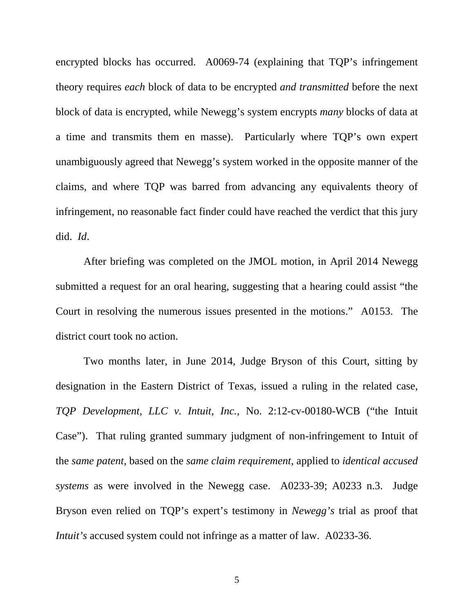encrypted blocks has occurred. A0069-74 (explaining that TQP's infringement theory requires *each* block of data to be encrypted *and transmitted* before the next block of data is encrypted, while Newegg's system encrypts *many* blocks of data at a time and transmits them en masse). Particularly where TQP's own expert unambiguously agreed that Newegg's system worked in the opposite manner of the claims, and where TQP was barred from advancing any equivalents theory of infringement, no reasonable fact finder could have reached the verdict that this jury did. *Id*.

After briefing was completed on the JMOL motion, in April 2014 Newegg submitted a request for an oral hearing, suggesting that a hearing could assist "the Court in resolving the numerous issues presented in the motions." A0153. The district court took no action.

Two months later, in June 2014, Judge Bryson of this Court, sitting by designation in the Eastern District of Texas, issued a ruling in the related case, *TQP Development, LLC v. Intuit, Inc.*, No. 2:12-cv-00180-WCB ("the Intuit Case"). That ruling granted summary judgment of non-infringement to Intuit of the *same patent*, based on the *same claim requirement*, applied to *identical accused systems* as were involved in the Newegg case. A0233-39; A0233 n.3. Judge Bryson even relied on TQP's expert's testimony in *Newegg's* trial as proof that *Intuit's* accused system could not infringe as a matter of law. A0233-36.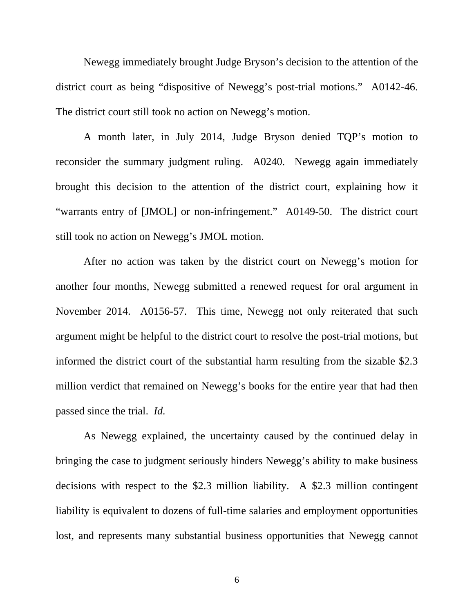Newegg immediately brought Judge Bryson's decision to the attention of the district court as being "dispositive of Newegg's post-trial motions." A0142-46. The district court still took no action on Newegg's motion.

A month later, in July 2014, Judge Bryson denied TQP's motion to reconsider the summary judgment ruling. A0240. Newegg again immediately brought this decision to the attention of the district court, explaining how it "warrants entry of [JMOL] or non-infringement." A0149-50. The district court still took no action on Newegg's JMOL motion.

After no action was taken by the district court on Newegg's motion for another four months, Newegg submitted a renewed request for oral argument in November 2014. A0156-57. This time, Newegg not only reiterated that such argument might be helpful to the district court to resolve the post-trial motions, but informed the district court of the substantial harm resulting from the sizable \$2.3 million verdict that remained on Newegg's books for the entire year that had then passed since the trial. *Id.*

As Newegg explained, the uncertainty caused by the continued delay in bringing the case to judgment seriously hinders Newegg's ability to make business decisions with respect to the \$2.3 million liability. A \$2.3 million contingent liability is equivalent to dozens of full-time salaries and employment opportunities lost, and represents many substantial business opportunities that Newegg cannot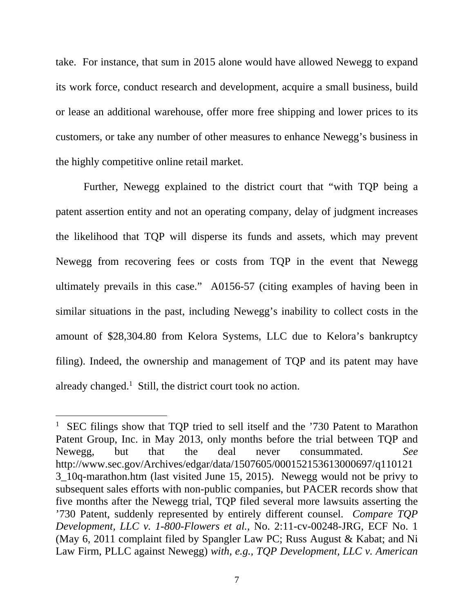take. For instance, that sum in 2015 alone would have allowed Newegg to expand its work force, conduct research and development, acquire a small business, build or lease an additional warehouse, offer more free shipping and lower prices to its customers, or take any number of other measures to enhance Newegg's business in the highly competitive online retail market.

Further, Newegg explained to the district court that "with TQP being a patent assertion entity and not an operating company, delay of judgment increases the likelihood that TQP will disperse its funds and assets, which may prevent Newegg from recovering fees or costs from TQP in the event that Newegg ultimately prevails in this case." A0156-57 (citing examples of having been in similar situations in the past, including Newegg's inability to collect costs in the amount of \$28,304.80 from Kelora Systems, LLC due to Kelora's bankruptcy filing). Indeed, the ownership and management of TQP and its patent may have already changed.<sup>1</sup> Still, the district court took no action.

<sup>&</sup>lt;sup>1</sup> SEC filings show that TQP tried to sell itself and the '730 Patent to Marathon Patent Group, Inc. in May 2013, only months before the trial between TQP and Newegg, but that the deal never consummated. *See*  http://www.sec.gov/Archives/edgar/data/1507605/000152153613000697/q110121 3\_10q-marathon.htm (last visited June 15, 2015). Newegg would not be privy to subsequent sales efforts with non-public companies, but PACER records show that five months after the Newegg trial, TQP filed several more lawsuits asserting the '730 Patent, suddenly represented by entirely different counsel. *Compare TQP Development, LLC v. 1-800-Flowers et al.*, No. 2:11-cv-00248-JRG, ECF No. 1 (May 6, 2011 complaint filed by Spangler Law PC; Russ August & Kabat; and Ni Law Firm, PLLC against Newegg) *with, e.g., TQP Development, LLC v. American*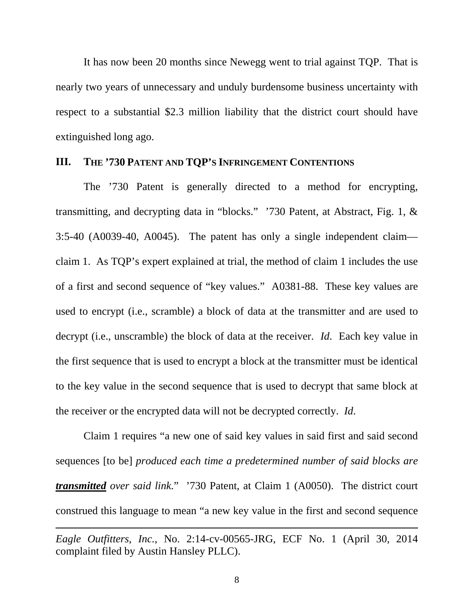It has now been 20 months since Newegg went to trial against TQP. That is nearly two years of unnecessary and unduly burdensome business uncertainty with respect to a substantial \$2.3 million liability that the district court should have extinguished long ago.

#### **III. THE '730 PATENT AND TQP'S INFRINGEMENT CONTENTIONS**

 The '730 Patent is generally directed to a method for encrypting, transmitting, and decrypting data in "blocks." '730 Patent, at Abstract, Fig. 1, & 3:5-40 (A0039-40, A0045). The patent has only a single independent claim claim 1. As TQP's expert explained at trial, the method of claim 1 includes the use of a first and second sequence of "key values." A0381-88. These key values are used to encrypt (i.e., scramble) a block of data at the transmitter and are used to decrypt (i.e., unscramble) the block of data at the receiver. *Id*. Each key value in the first sequence that is used to encrypt a block at the transmitter must be identical to the key value in the second sequence that is used to decrypt that same block at the receiver or the encrypted data will not be decrypted correctly. *Id*.

 Claim 1 requires "a new one of said key values in said first and said second sequences [to be] *produced each time a predetermined number of said blocks are transmitted over said link*." '730 Patent, at Claim 1 (A0050). The district court construed this language to mean "a new key value in the first and second sequence

*Eagle Outfitters, Inc.*, No. 2:14-cv-00565-JRG, ECF No. 1 (April 30, 2014 complaint filed by Austin Hansley PLLC).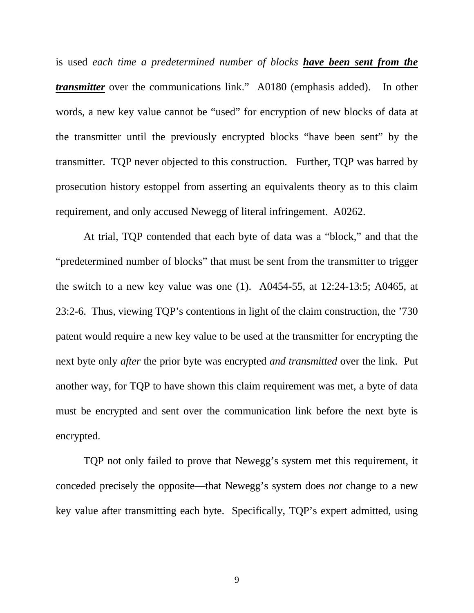is used *each time a predetermined number of blocks have been sent from the transmitter* over the communications link." A0180 (emphasis added). In other words, a new key value cannot be "used" for encryption of new blocks of data at the transmitter until the previously encrypted blocks "have been sent" by the transmitter. TQP never objected to this construction. Further, TQP was barred by prosecution history estoppel from asserting an equivalents theory as to this claim requirement, and only accused Newegg of literal infringement. A0262.

 At trial, TQP contended that each byte of data was a "block," and that the "predetermined number of blocks" that must be sent from the transmitter to trigger the switch to a new key value was one (1). A0454-55, at 12:24-13:5; A0465, at 23:2-6. Thus, viewing TQP's contentions in light of the claim construction, the '730 patent would require a new key value to be used at the transmitter for encrypting the next byte only *after* the prior byte was encrypted *and transmitted* over the link. Put another way, for TQP to have shown this claim requirement was met, a byte of data must be encrypted and sent over the communication link before the next byte is encrypted.

TQP not only failed to prove that Newegg's system met this requirement, it conceded precisely the opposite—that Newegg's system does *not* change to a new key value after transmitting each byte. Specifically, TQP's expert admitted, using

9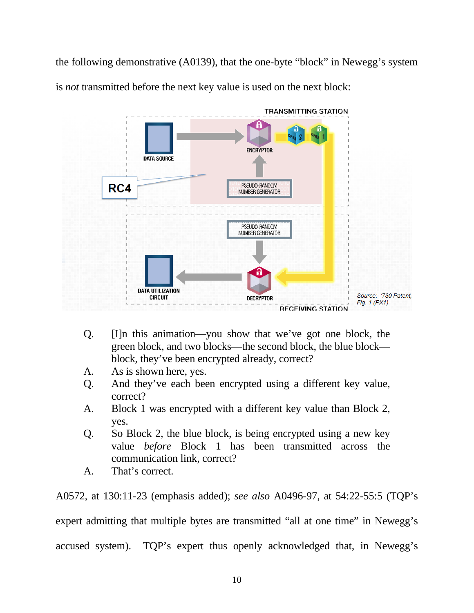the following demonstrative (A0139), that the one-byte "block" in Newegg's system is *not* transmitted before the next key value is used on the next block:



- Q. [I]n this animation—you show that we've got one block, the green block, and two blocks—the second block, the blue block block, they've been encrypted already, correct?
- A. As is shown here, yes.
- Q. And they've each been encrypted using a different key value, correct?
- A. Block 1 was encrypted with a different key value than Block 2, yes.
- Q. So Block 2, the blue block, is being encrypted using a new key value *before* Block 1 has been transmitted across the communication link, correct?
- A. That's correct.

A0572, at 130:11-23 (emphasis added); *see also* A0496-97, at 54:22-55:5 (TQP's expert admitting that multiple bytes are transmitted "all at one time" in Newegg's accused system). TQP's expert thus openly acknowledged that, in Newegg's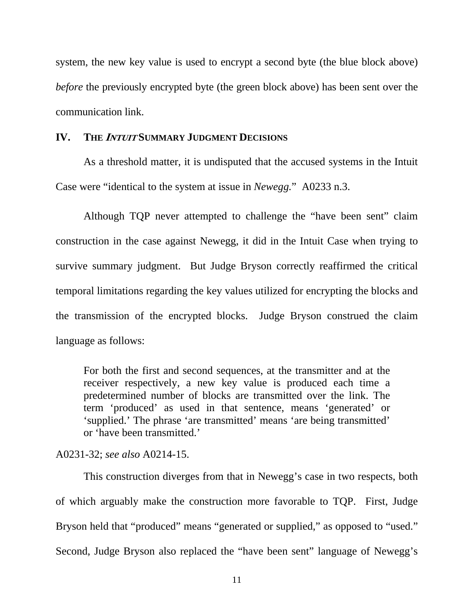system, the new key value is used to encrypt a second byte (the blue block above) *before* the previously encrypted byte (the green block above) has been sent over the communication link.

#### **IV. THE <sup>I</sup>NTUIT SUMMARY JUDGMENT DECISIONS**

As a threshold matter, it is undisputed that the accused systems in the Intuit Case were "identical to the system at issue in *Newegg.*" A0233 n.3.

Although TQP never attempted to challenge the "have been sent" claim construction in the case against Newegg, it did in the Intuit Case when trying to survive summary judgment. But Judge Bryson correctly reaffirmed the critical temporal limitations regarding the key values utilized for encrypting the blocks and the transmission of the encrypted blocks. Judge Bryson construed the claim language as follows:

For both the first and second sequences, at the transmitter and at the receiver respectively, a new key value is produced each time a predetermined number of blocks are transmitted over the link. The term 'produced' as used in that sentence, means 'generated' or 'supplied.' The phrase 'are transmitted' means 'are being transmitted' or 'have been transmitted.'

A0231-32; *see also* A0214-15.

This construction diverges from that in Newegg's case in two respects, both of which arguably make the construction more favorable to TQP. First, Judge Bryson held that "produced" means "generated or supplied," as opposed to "used." Second, Judge Bryson also replaced the "have been sent" language of Newegg's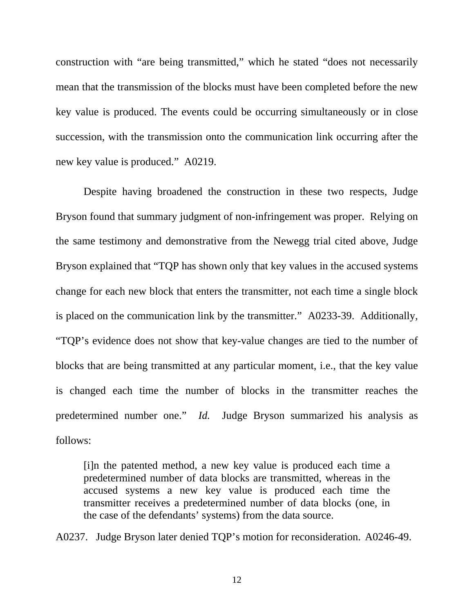construction with "are being transmitted," which he stated "does not necessarily mean that the transmission of the blocks must have been completed before the new key value is produced. The events could be occurring simultaneously or in close succession, with the transmission onto the communication link occurring after the new key value is produced." A0219.

Despite having broadened the construction in these two respects, Judge Bryson found that summary judgment of non-infringement was proper. Relying on the same testimony and demonstrative from the Newegg trial cited above, Judge Bryson explained that "TQP has shown only that key values in the accused systems change for each new block that enters the transmitter, not each time a single block is placed on the communication link by the transmitter." A0233-39. Additionally, "TQP's evidence does not show that key-value changes are tied to the number of blocks that are being transmitted at any particular moment, i.e., that the key value is changed each time the number of blocks in the transmitter reaches the predetermined number one." *Id.* Judge Bryson summarized his analysis as follows:

[i]n the patented method, a new key value is produced each time a predetermined number of data blocks are transmitted, whereas in the accused systems a new key value is produced each time the transmitter receives a predetermined number of data blocks (one, in the case of the defendants' systems) from the data source.

A0237. Judge Bryson later denied TQP's motion for reconsideration. A0246-49.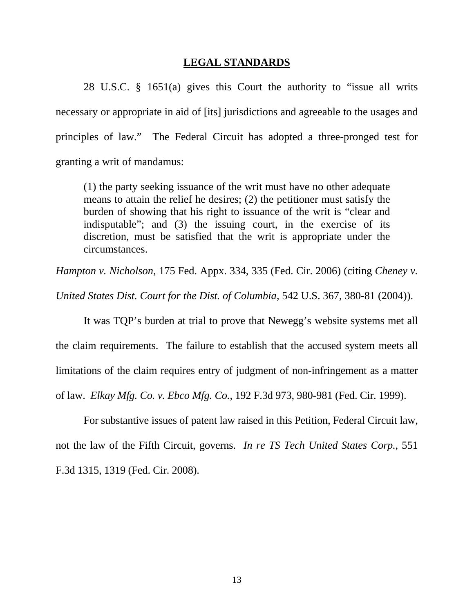#### **LEGAL STANDARDS**

28 U.S.C. § 1651(a) gives this Court the authority to "issue all writs necessary or appropriate in aid of [its] jurisdictions and agreeable to the usages and principles of law." The Federal Circuit has adopted a three-pronged test for granting a writ of mandamus:

(1) the party seeking issuance of the writ must have no other adequate means to attain the relief he desires; (2) the petitioner must satisfy the burden of showing that his right to issuance of the writ is "clear and indisputable"; and (3) the issuing court, in the exercise of its discretion, must be satisfied that the writ is appropriate under the circumstances.

*Hampton v. Nicholson*, 175 Fed. Appx. 334, 335 (Fed. Cir. 2006) (citing *Cheney v.* 

*United States Dist. Court for the Dist. of Columbia*, 542 U.S. 367, 380-81 (2004)).

It was TQP's burden at trial to prove that Newegg's website systems met all the claim requirements. The failure to establish that the accused system meets all limitations of the claim requires entry of judgment of non-infringement as a matter of law. *Elkay Mfg. Co. v. Ebco Mfg. Co.*, 192 F.3d 973, 980-981 (Fed. Cir. 1999).

For substantive issues of patent law raised in this Petition, Federal Circuit law, not the law of the Fifth Circuit, governs. *In re TS Tech United States Corp.*, 551 F.3d 1315, 1319 (Fed. Cir. 2008).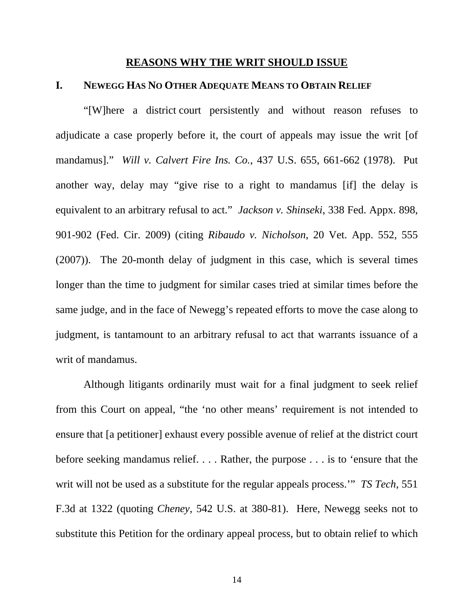#### **REASONS WHY THE WRIT SHOULD ISSUE**

#### **I. NEWEGG HAS NO OTHER ADEQUATE MEANS TO OBTAIN RELIEF**

"[W]here a district court persistently and without reason refuses to adjudicate a case properly before it, the court of appeals may issue the writ [of mandamus]." *Will v. Calvert Fire Ins. Co.*, 437 U.S. 655, 661-662 (1978). Put another way, delay may "give rise to a right to mandamus [if] the delay is equivalent to an arbitrary refusal to act." *Jackson v. Shinseki*, 338 Fed. Appx. 898, 901-902 (Fed. Cir. 2009) (citing *Ribaudo v. Nicholson*, 20 Vet. App. 552, 555 (2007)). The 20-month delay of judgment in this case, which is several times longer than the time to judgment for similar cases tried at similar times before the same judge, and in the face of Newegg's repeated efforts to move the case along to judgment, is tantamount to an arbitrary refusal to act that warrants issuance of a writ of mandamus.

Although litigants ordinarily must wait for a final judgment to seek relief from this Court on appeal, "the 'no other means' requirement is not intended to ensure that [a petitioner] exhaust every possible avenue of relief at the district court before seeking mandamus relief. . . . Rather, the purpose . . . is to 'ensure that the writ will not be used as a substitute for the regular appeals process.'" *TS Tech*, 551 F.3d at 1322 (quoting *Cheney*, 542 U.S. at 380-81). Here, Newegg seeks not to substitute this Petition for the ordinary appeal process, but to obtain relief to which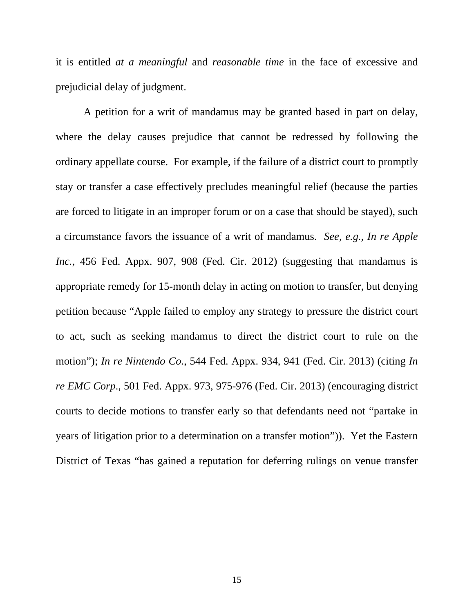it is entitled *at a meaningful* and *reasonable time* in the face of excessive and prejudicial delay of judgment.

A petition for a writ of mandamus may be granted based in part on delay, where the delay causes prejudice that cannot be redressed by following the ordinary appellate course. For example, if the failure of a district court to promptly stay or transfer a case effectively precludes meaningful relief (because the parties are forced to litigate in an improper forum or on a case that should be stayed), such a circumstance favors the issuance of a writ of mandamus. *See, e.g., In re Apple Inc.*, 456 Fed. Appx. 907, 908 (Fed. Cir. 2012) (suggesting that mandamus is appropriate remedy for 15-month delay in acting on motion to transfer, but denying petition because "Apple failed to employ any strategy to pressure the district court to act, such as seeking mandamus to direct the district court to rule on the motion"); *In re Nintendo Co.*, 544 Fed. Appx. 934, 941 (Fed. Cir. 2013) (citing *In re EMC Corp*., 501 Fed. Appx. 973, 975-976 (Fed. Cir. 2013) (encouraging district courts to decide motions to transfer early so that defendants need not "partake in years of litigation prior to a determination on a transfer motion")). Yet the Eastern District of Texas "has gained a reputation for deferring rulings on venue transfer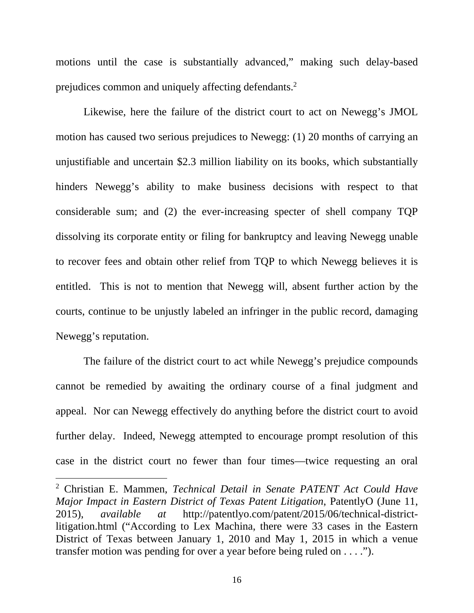motions until the case is substantially advanced," making such delay-based prejudices common and uniquely affecting defendants.2

Likewise, here the failure of the district court to act on Newegg's JMOL motion has caused two serious prejudices to Newegg: (1) 20 months of carrying an unjustifiable and uncertain \$2.3 million liability on its books, which substantially hinders Newegg's ability to make business decisions with respect to that considerable sum; and (2) the ever-increasing specter of shell company TQP dissolving its corporate entity or filing for bankruptcy and leaving Newegg unable to recover fees and obtain other relief from TQP to which Newegg believes it is entitled. This is not to mention that Newegg will, absent further action by the courts, continue to be unjustly labeled an infringer in the public record, damaging Newegg's reputation.

The failure of the district court to act while Newegg's prejudice compounds cannot be remedied by awaiting the ordinary course of a final judgment and appeal. Nor can Newegg effectively do anything before the district court to avoid further delay. Indeed, Newegg attempted to encourage prompt resolution of this case in the district court no fewer than four times—twice requesting an oral

<sup>2</sup> Christian E. Mammen, *Technical Detail in Senate PATENT Act Could Have Major Impact in Eastern District of Texas Patent Litigation*, PatentlyO (June 11, 2015), *available at* http://patentlyo.com/patent/2015/06/technical-districtlitigation.html ("According to Lex Machina, there were 33 cases in the Eastern District of Texas between January 1, 2010 and May 1, 2015 in which a venue transfer motion was pending for over a year before being ruled on . . . .").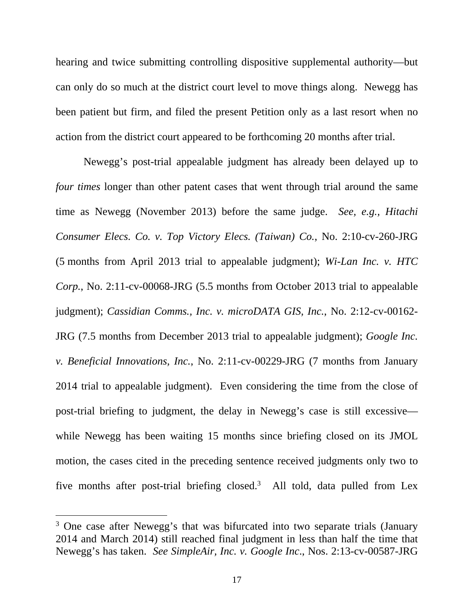hearing and twice submitting controlling dispositive supplemental authority—but can only do so much at the district court level to move things along. Newegg has been patient but firm, and filed the present Petition only as a last resort when no action from the district court appeared to be forthcoming 20 months after trial.

Newegg's post-trial appealable judgment has already been delayed up to *four times* longer than other patent cases that went through trial around the same time as Newegg (November 2013) before the same judge. *See, e.g., Hitachi Consumer Elecs. Co. v. Top Victory Elecs. (Taiwan) Co.*, No. 2:10-cv-260-JRG (5 months from April 2013 trial to appealable judgment); *Wi-Lan Inc. v. HTC Corp.*, No. 2:11-cv-00068-JRG (5.5 months from October 2013 trial to appealable judgment); *Cassidian Comms., Inc. v. microDATA GIS, Inc.*, No. 2:12-cv-00162- JRG (7.5 months from December 2013 trial to appealable judgment); *Google Inc. v. Beneficial Innovations, Inc.*, No. 2:11-cv-00229-JRG (7 months from January 2014 trial to appealable judgment). Even considering the time from the close of post-trial briefing to judgment, the delay in Newegg's case is still excessive while Newegg has been waiting 15 months since briefing closed on its JMOL motion, the cases cited in the preceding sentence received judgments only two to five months after post-trial briefing closed.<sup>3</sup> All told, data pulled from Lex

<sup>&</sup>lt;sup>3</sup> One case after Newegg's that was bifurcated into two separate trials (January 2014 and March 2014) still reached final judgment in less than half the time that Newegg's has taken. *See SimpleAir, Inc. v. Google Inc*., Nos. 2:13-cv-00587-JRG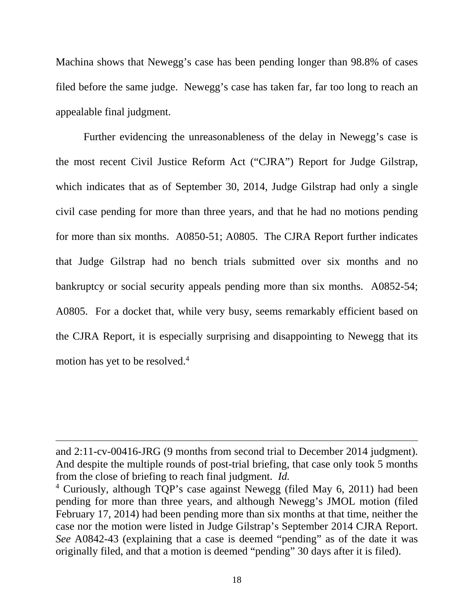Machina shows that Newegg's case has been pending longer than 98.8% of cases filed before the same judge. Newegg's case has taken far, far too long to reach an appealable final judgment.

Further evidencing the unreasonableness of the delay in Newegg's case is the most recent Civil Justice Reform Act ("CJRA") Report for Judge Gilstrap, which indicates that as of September 30, 2014, Judge Gilstrap had only a single civil case pending for more than three years, and that he had no motions pending for more than six months. A0850-51; A0805. The CJRA Report further indicates that Judge Gilstrap had no bench trials submitted over six months and no bankruptcy or social security appeals pending more than six months. A0852-54; A0805. For a docket that, while very busy, seems remarkably efficient based on the CJRA Report, it is especially surprising and disappointing to Newegg that its motion has yet to be resolved.<sup>4</sup>

and 2:11-cv-00416-JRG (9 months from second trial to December 2014 judgment). And despite the multiple rounds of post-trial briefing, that case only took 5 months from the close of briefing to reach final judgment. *Id.*

<sup>4</sup> Curiously, although TQP's case against Newegg (filed May 6, 2011) had been pending for more than three years, and although Newegg's JMOL motion (filed February 17, 2014) had been pending more than six months at that time, neither the case nor the motion were listed in Judge Gilstrap's September 2014 CJRA Report. *See* A0842-43 (explaining that a case is deemed "pending" as of the date it was originally filed, and that a motion is deemed "pending" 30 days after it is filed).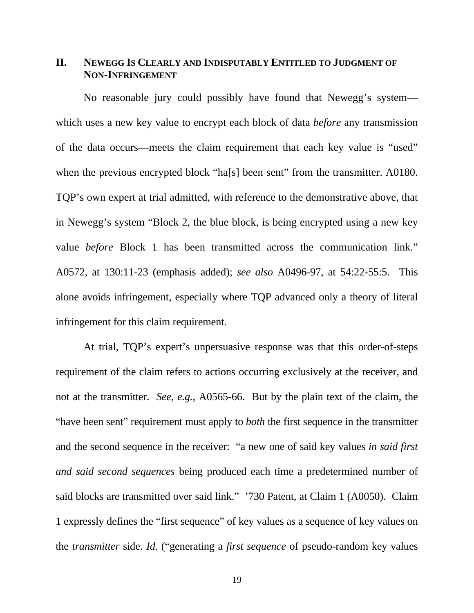## **II. NEWEGG IS CLEARLY AND INDISPUTABLY ENTITLED TO JUDGMENT OF NON-INFRINGEMENT**

No reasonable jury could possibly have found that Newegg's system which uses a new key value to encrypt each block of data *before* any transmission of the data occurs—meets the claim requirement that each key value is "used" when the previous encrypted block "ha[s] been sent" from the transmitter. A0180. TQP's own expert at trial admitted, with reference to the demonstrative above, that in Newegg's system "Block 2, the blue block, is being encrypted using a new key value *before* Block 1 has been transmitted across the communication link." A0572, at 130:11-23 (emphasis added); *see also* A0496-97, at 54:22-55:5. This alone avoids infringement, especially where TQP advanced only a theory of literal infringement for this claim requirement.

At trial, TQP's expert's unpersuasive response was that this order-of-steps requirement of the claim refers to actions occurring exclusively at the receiver, and not at the transmitter. *See, e.g.,* A0565-66. But by the plain text of the claim, the "have been sent" requirement must apply to *both* the first sequence in the transmitter and the second sequence in the receiver: "a new one of said key values *in said first and said second sequences* being produced each time a predetermined number of said blocks are transmitted over said link." '730 Patent, at Claim 1 (A0050). Claim 1 expressly defines the "first sequence" of key values as a sequence of key values on the *transmitter* side. *Id.* ("generating a *first sequence* of pseudo-random key values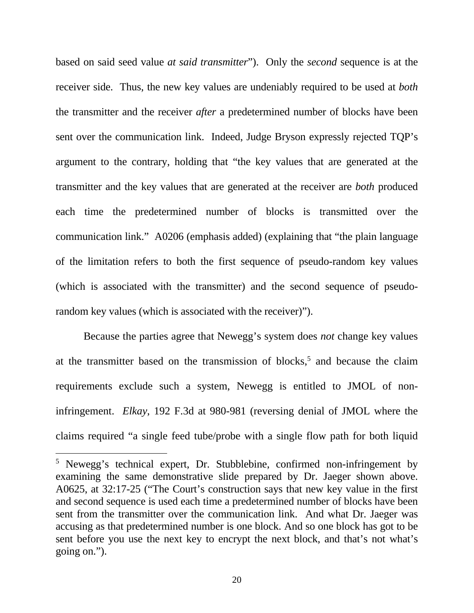based on said seed value *at said transmitter*"). Only the *second* sequence is at the receiver side. Thus, the new key values are undeniably required to be used at *both* the transmitter and the receiver *after* a predetermined number of blocks have been sent over the communication link. Indeed, Judge Bryson expressly rejected TQP's argument to the contrary, holding that "the key values that are generated at the transmitter and the key values that are generated at the receiver are *both* produced each time the predetermined number of blocks is transmitted over the communication link." A0206 (emphasis added) (explaining that "the plain language of the limitation refers to both the first sequence of pseudo-random key values (which is associated with the transmitter) and the second sequence of pseudorandom key values (which is associated with the receiver)").

Because the parties agree that Newegg's system does *not* change key values at the transmitter based on the transmission of blocks,<sup>5</sup> and because the claim requirements exclude such a system, Newegg is entitled to JMOL of noninfringement. *Elkay*, 192 F.3d at 980-981 (reversing denial of JMOL where the claims required "a single feed tube/probe with a single flow path for both liquid

<sup>&</sup>lt;sup>5</sup> Newegg's technical expert, Dr. Stubblebine, confirmed non-infringement by examining the same demonstrative slide prepared by Dr. Jaeger shown above. A0625, at 32:17-25 ("The Court's construction says that new key value in the first and second sequence is used each time a predetermined number of blocks have been sent from the transmitter over the communication link. And what Dr. Jaeger was accusing as that predetermined number is one block. And so one block has got to be sent before you use the next key to encrypt the next block, and that's not what's going on.").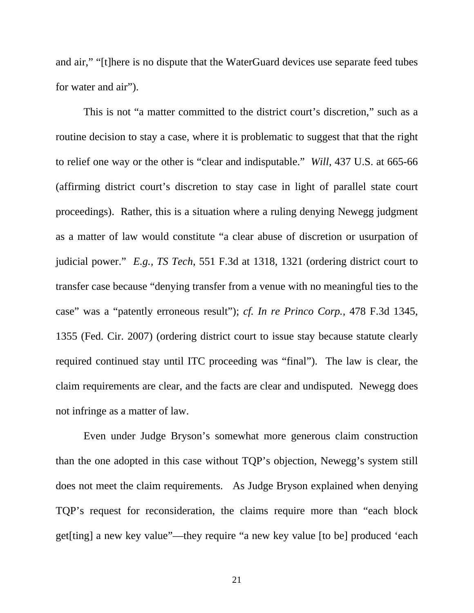and air," "[t]here is no dispute that the WaterGuard devices use separate feed tubes for water and air").

 This is not "a matter committed to the district court's discretion," such as a routine decision to stay a case, where it is problematic to suggest that that the right to relief one way or the other is "clear and indisputable." *Will*, 437 U.S. at 665-66 (affirming district court's discretion to stay case in light of parallel state court proceedings). Rather, this is a situation where a ruling denying Newegg judgment as a matter of law would constitute "a clear abuse of discretion or usurpation of judicial power." *E.g., TS Tech*, 551 F.3d at 1318, 1321 (ordering district court to transfer case because "denying transfer from a venue with no meaningful ties to the case" was a "patently erroneous result"); *cf. In re Princo Corp.*, 478 F.3d 1345, 1355 (Fed. Cir. 2007) (ordering district court to issue stay because statute clearly required continued stay until ITC proceeding was "final"). The law is clear, the claim requirements are clear, and the facts are clear and undisputed. Newegg does not infringe as a matter of law.

Even under Judge Bryson's somewhat more generous claim construction than the one adopted in this case without TQP's objection, Newegg's system still does not meet the claim requirements. As Judge Bryson explained when denying TQP's request for reconsideration, the claims require more than "each block get[ting] a new key value"—they require "a new key value [to be] produced 'each

21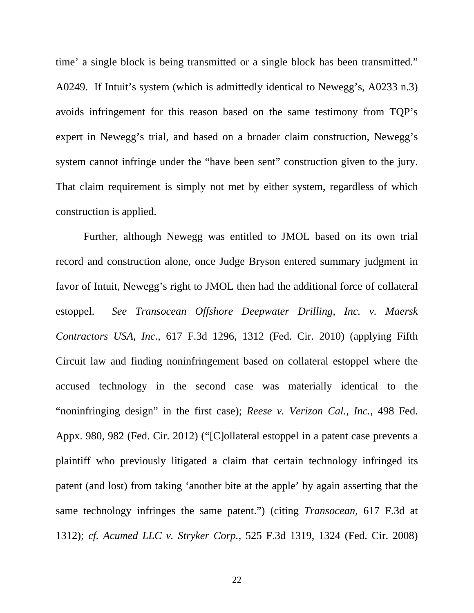time' a single block is being transmitted or a single block has been transmitted." A0249. If Intuit's system (which is admittedly identical to Newegg's, A0233 n.3) avoids infringement for this reason based on the same testimony from TQP's expert in Newegg's trial, and based on a broader claim construction, Newegg's system cannot infringe under the "have been sent" construction given to the jury. That claim requirement is simply not met by either system, regardless of which construction is applied.

Further, although Newegg was entitled to JMOL based on its own trial record and construction alone, once Judge Bryson entered summary judgment in favor of Intuit, Newegg's right to JMOL then had the additional force of collateral estoppel. *See Transocean Offshore Deepwater Drilling, Inc. v. Maersk Contractors USA, Inc.*, 617 F.3d 1296, 1312 (Fed. Cir. 2010) (applying Fifth Circuit law and finding noninfringement based on collateral estoppel where the accused technology in the second case was materially identical to the "noninfringing design" in the first case); *Reese v. Verizon Cal., Inc.*, 498 Fed. Appx. 980, 982 (Fed. Cir. 2012) ("[C]ollateral estoppel in a patent case prevents a plaintiff who previously litigated a claim that certain technology infringed its patent (and lost) from taking 'another bite at the apple' by again asserting that the same technology infringes the same patent.") (citing *Transocean*, 617 F.3d at 1312); *cf. Acumed LLC v. Stryker Corp.*, 525 F.3d 1319, 1324 (Fed. Cir. 2008)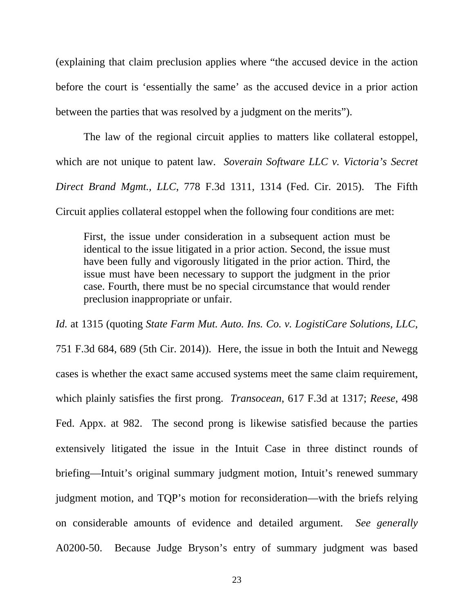(explaining that claim preclusion applies where "the accused device in the action before the court is 'essentially the same' as the accused device in a prior action between the parties that was resolved by a judgment on the merits").

The law of the regional circuit applies to matters like collateral estoppel, which are not unique to patent law. *Soverain Software LLC v. Victoria's Secret Direct Brand Mgmt., LLC*, 778 F.3d 1311, 1314 (Fed. Cir. 2015). The Fifth Circuit applies collateral estoppel when the following four conditions are met:

First, the issue under consideration in a subsequent action must be identical to the issue litigated in a prior action. Second, the issue must have been fully and vigorously litigated in the prior action. Third, the issue must have been necessary to support the judgment in the prior case. Fourth, there must be no special circumstance that would render preclusion inappropriate or unfair.

*Id.* at 1315 (quoting *State Farm Mut. Auto. Ins. Co. v. LogistiCare Solutions, LLC*, 751 F.3d 684, 689 (5th Cir. 2014)). Here, the issue in both the Intuit and Newegg cases is whether the exact same accused systems meet the same claim requirement, which plainly satisfies the first prong. *Transocean*, 617 F.3d at 1317; *Reese*, 498 Fed. Appx. at 982. The second prong is likewise satisfied because the parties extensively litigated the issue in the Intuit Case in three distinct rounds of briefing—Intuit's original summary judgment motion, Intuit's renewed summary judgment motion, and TQP's motion for reconsideration—with the briefs relying on considerable amounts of evidence and detailed argument. *See generally*  A0200-50. Because Judge Bryson's entry of summary judgment was based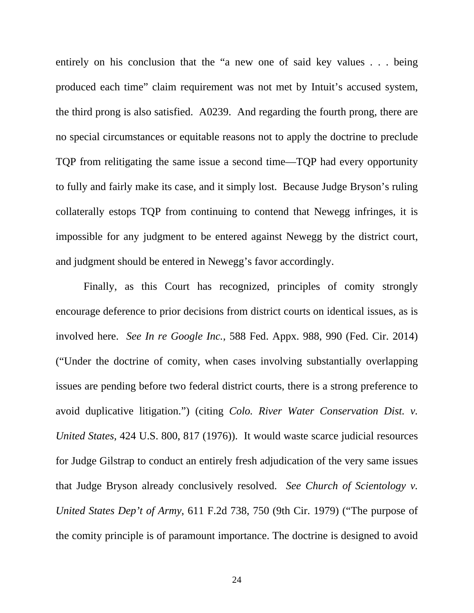entirely on his conclusion that the "a new one of said key values . . . being produced each time" claim requirement was not met by Intuit's accused system, the third prong is also satisfied. A0239. And regarding the fourth prong, there are no special circumstances or equitable reasons not to apply the doctrine to preclude TQP from relitigating the same issue a second time—TQP had every opportunity to fully and fairly make its case, and it simply lost. Because Judge Bryson's ruling collaterally estops TQP from continuing to contend that Newegg infringes, it is impossible for any judgment to be entered against Newegg by the district court, and judgment should be entered in Newegg's favor accordingly.

Finally, as this Court has recognized, principles of comity strongly encourage deference to prior decisions from district courts on identical issues, as is involved here. *See In re Google Inc.*, 588 Fed. Appx. 988, 990 (Fed. Cir. 2014) ("Under the doctrine of comity, when cases involving substantially overlapping issues are pending before two federal district courts, there is a strong preference to avoid duplicative litigation.") (citing *Colo. River Water Conservation Dist. v. United States*, 424 U.S. 800, 817 (1976)). It would waste scarce judicial resources for Judge Gilstrap to conduct an entirely fresh adjudication of the very same issues that Judge Bryson already conclusively resolved. *See Church of Scientology v. United States Dep't of Army*, 611 F.2d 738, 750 (9th Cir. 1979) ("The purpose of the comity principle is of paramount importance. The doctrine is designed to avoid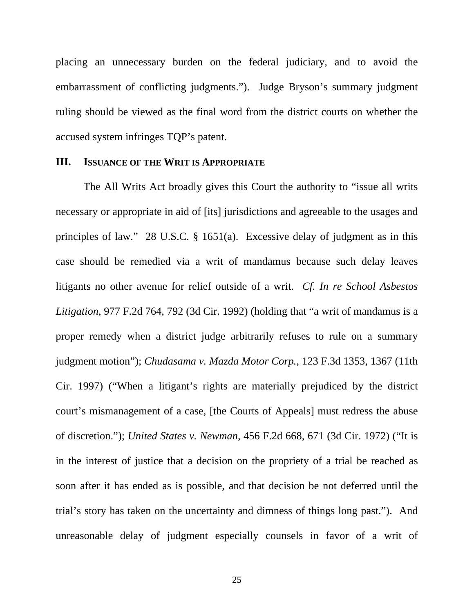placing an unnecessary burden on the federal judiciary, and to avoid the embarrassment of conflicting judgments."). Judge Bryson's summary judgment ruling should be viewed as the final word from the district courts on whether the accused system infringes TQP's patent.

#### **III. ISSUANCE OF THE WRIT IS APPROPRIATE**

 The All Writs Act broadly gives this Court the authority to "issue all writs necessary or appropriate in aid of [its] jurisdictions and agreeable to the usages and principles of law." 28 U.S.C. § 1651(a). Excessive delay of judgment as in this case should be remedied via a writ of mandamus because such delay leaves litigants no other avenue for relief outside of a writ. *Cf. In re School Asbestos Litigation*, 977 F.2d 764, 792 (3d Cir. 1992) (holding that "a writ of mandamus is a proper remedy when a district judge arbitrarily refuses to rule on a summary judgment motion"); *Chudasama v. Mazda Motor Corp.*, 123 F.3d 1353, 1367 (11th Cir. 1997) ("When a litigant's rights are materially prejudiced by the district court's mismanagement of a case, [the Courts of Appeals] must redress the abuse of discretion."); *United States v. Newman*, 456 F.2d 668, 671 (3d Cir. 1972) ("It is in the interest of justice that a decision on the propriety of a trial be reached as soon after it has ended as is possible, and that decision be not deferred until the trial's story has taken on the uncertainty and dimness of things long past."). And unreasonable delay of judgment especially counsels in favor of a writ of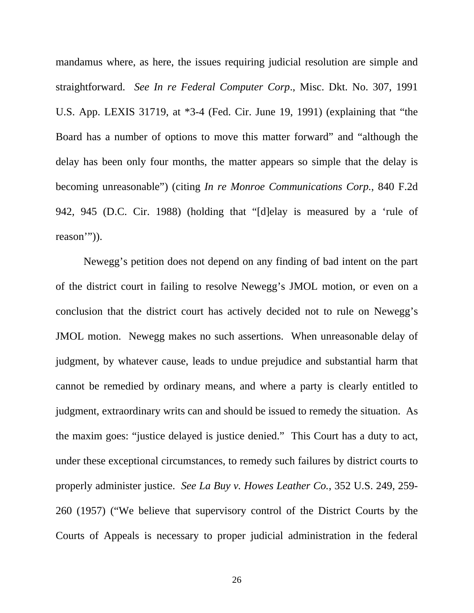mandamus where, as here, the issues requiring judicial resolution are simple and straightforward. *See In re Federal Computer Corp*., Misc. Dkt. No. 307, 1991 U.S. App. LEXIS 31719, at \*3-4 (Fed. Cir. June 19, 1991) (explaining that "the Board has a number of options to move this matter forward" and "although the delay has been only four months, the matter appears so simple that the delay is becoming unreasonable") (citing *In re Monroe Communications Corp.*, 840 F.2d 942, 945 (D.C. Cir. 1988) (holding that "[d]elay is measured by a 'rule of reason''')).

Newegg's petition does not depend on any finding of bad intent on the part of the district court in failing to resolve Newegg's JMOL motion, or even on a conclusion that the district court has actively decided not to rule on Newegg's JMOL motion. Newegg makes no such assertions. When unreasonable delay of judgment, by whatever cause, leads to undue prejudice and substantial harm that cannot be remedied by ordinary means, and where a party is clearly entitled to judgment, extraordinary writs can and should be issued to remedy the situation. As the maxim goes: "justice delayed is justice denied." This Court has a duty to act, under these exceptional circumstances, to remedy such failures by district courts to properly administer justice. *See La Buy v. Howes Leather Co.*, 352 U.S. 249, 259- 260 (1957) ("We believe that supervisory control of the District Courts by the Courts of Appeals is necessary to proper judicial administration in the federal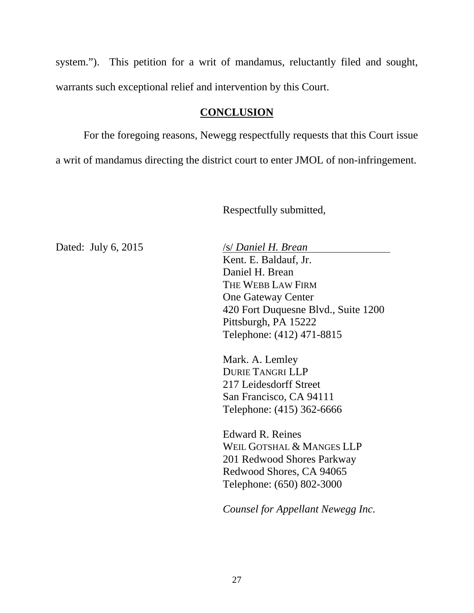system."). This petition for a writ of mandamus, reluctantly filed and sought, warrants such exceptional relief and intervention by this Court.

## **CONCLUSION**

 For the foregoing reasons, Newegg respectfully requests that this Court issue a writ of mandamus directing the district court to enter JMOL of non-infringement.

Respectfully submitted,

Dated: July 6, 2015 /s/ *Daniel H. Brean* Kent. E. Baldauf, Jr. Daniel H. Brean THE WEBB LAW FIRM One Gateway Center 420 Fort Duquesne Blvd., Suite 1200 Pittsburgh, PA 15222 Telephone: (412) 471-8815

> Mark. A. Lemley DURIE TANGRI LLP 217 Leidesdorff Street San Francisco, CA 94111 Telephone: (415) 362-6666

Edward R. Reines WEIL GOTSHAL & MANGES LLP 201 Redwood Shores Parkway Redwood Shores, CA 94065 Telephone: (650) 802-3000

*Counsel for Appellant Newegg Inc.*